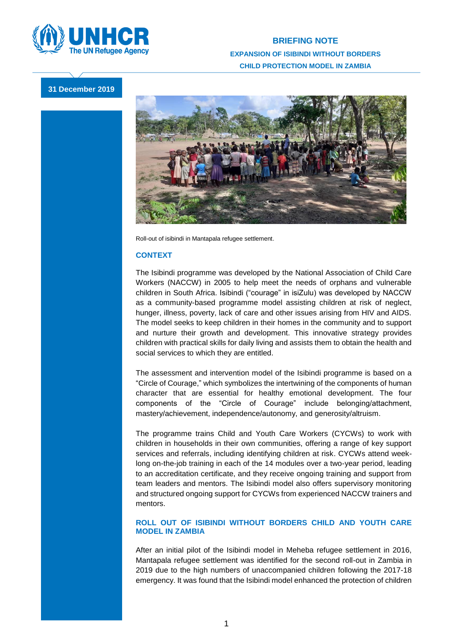

## **BRIEFING NOTE EXPANSION OF ISIBINDI WITHOUT BORDERS CHILD PROTECTION MODEL IN ZAMBIA**

## **31 December 2019**



Roll-out of isibindi in Mantapala refugee settlement.

## **CONTEXT**

The Isibindi programme was developed by the National Association of Child Care Workers (NACCW) in 2005 to help meet the needs of orphans and vulnerable children in South Africa. Isibindi ("courage" in isiZulu) was developed by NACCW as a community-based programme model assisting children at risk of neglect, hunger, illness, poverty, lack of care and other issues arising from HIV and AIDS. The model seeks to keep children in their homes in the community and to support and nurture their growth and development. This innovative strategy provides children with practical skills for daily living and assists them to obtain the health and social services to which they are entitled.

The assessment and intervention model of the Isibindi programme is based on a "Circle of Courage," which symbolizes the intertwining of the components of human character that are essential for healthy emotional development. The four components of the "Circle of Courage" include belonging/attachment, mastery/achievement, independence/autonomy, and generosity/altruism.

The programme trains Child and Youth Care Workers (CYCWs) to work with children in households in their own communities, offering a range of key support services and referrals, including identifying children at risk. CYCWs attend weeklong on-the-job training in each of the 14 modules over a two-year period, leading to an accreditation certificate, and they receive ongoing training and support from team leaders and mentors. The Isibindi model also offers supervisory monitoring and structured ongoing support for CYCWs from experienced NACCW trainers and mentors.

## **ROLL OUT OF ISIBINDI WITHOUT BORDERS CHILD AND YOUTH CARE MODEL IN ZAMBIA**

After an initial pilot of the Isibindi model in Meheba refugee settlement in 2016, Mantapala refugee settlement was identified for the second roll-out in Zambia in 2019 due to the high numbers of unaccompanied children following the 2017-18 emergency. It was found that the Isibindi model enhanced the protection of children